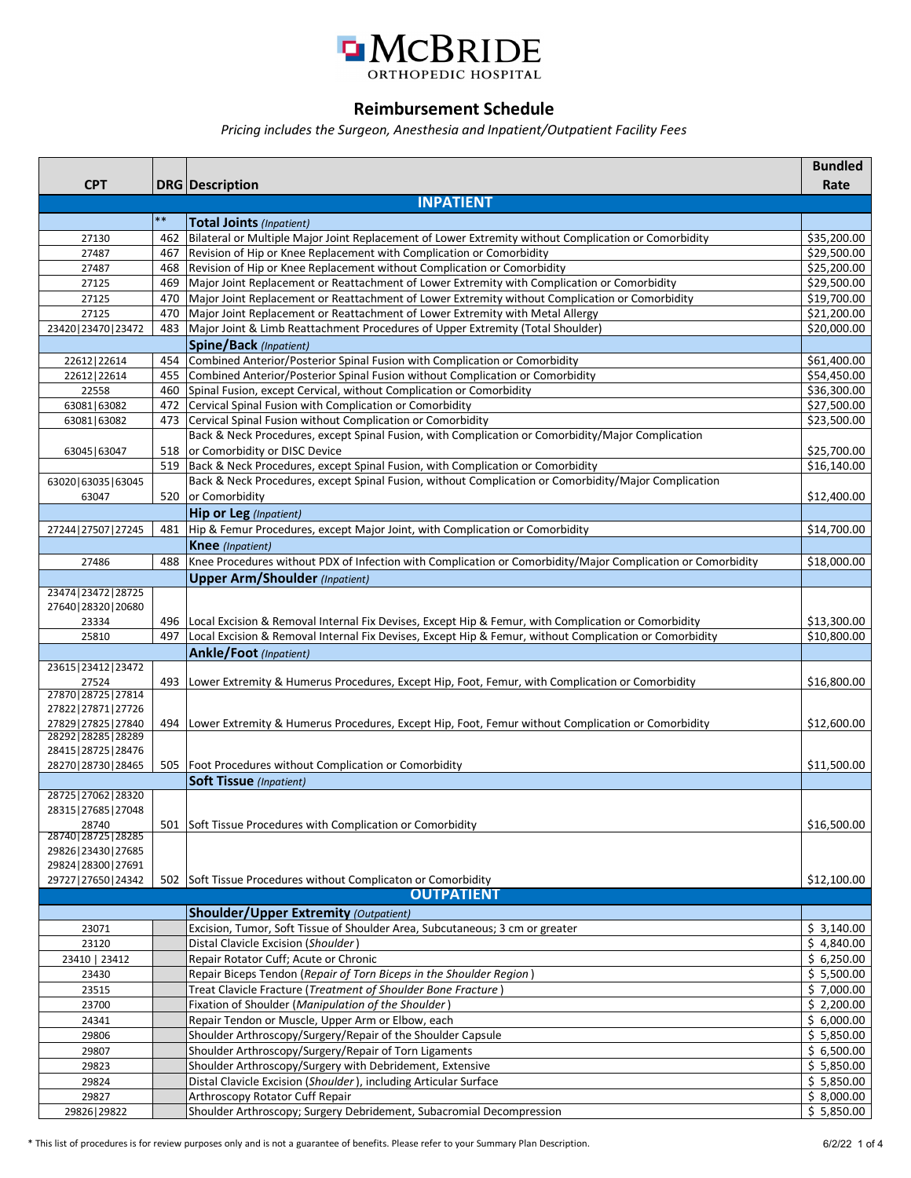

## **Reimbursement Schedule**

*Pricing includes the Surgeon, Anesthesia and Inpatient/Outpatient Facility Fees*

| <b>INPATIENT</b><br>$***$<br>Total Joints (Inpatient)<br>462 Bilateral or Multiple Major Joint Replacement of Lower Extremity without Complication or Comorbidity<br>\$35,200.00<br>27130<br>\$29,500.00<br>467 Revision of Hip or Knee Replacement with Complication or Comorbidity<br>27487<br>468 Revision of Hip or Knee Replacement without Complication or Comorbidity<br>\$25,200.00<br>27487<br>469   Major Joint Replacement or Reattachment of Lower Extremity with Complication or Comorbidity<br>\$29,500.00<br>27125<br>\$19,700.00<br>470 Major Joint Replacement or Reattachment of Lower Extremity without Complication or Comorbidity<br>27125<br>\$21,200.00<br>27125<br>470 Major Joint Replacement or Reattachment of Lower Extremity with Metal Allergy<br>483   Major Joint & Limb Reattachment Procedures of Upper Extremity (Total Shoulder)<br>\$20,000.00<br>23420   23470   23472<br><b>Spine/Back</b> (Inpatient)<br>454 Combined Anterior/Posterior Spinal Fusion with Complication or Comorbidity<br>22612   22614<br>\$61,400.00<br>455 Combined Anterior/Posterior Spinal Fusion without Complication or Comorbidity<br>\$54,450.00<br>22612   22614<br>\$36,300.00<br>460 Spinal Fusion, except Cervical, without Complication or Comorbidity<br>22558<br>472 Cervical Spinal Fusion with Complication or Comorbidity<br>\$27,500.00<br>63081 63082<br>473 Cervical Spinal Fusion without Complication or Comorbidity<br>\$23,500.00<br>63081 63082<br>Back & Neck Procedures, except Spinal Fusion, with Complication or Comorbidity/Major Complication<br>518 or Comorbidity or DISC Device<br>\$25,700.00<br>63045   63047<br>519 Back & Neck Procedures, except Spinal Fusion, with Complication or Comorbidity<br>\$16,140.00<br>Back & Neck Procedures, except Spinal Fusion, without Complication or Comorbidity/Major Complication<br>63020 63035 63045<br>520 or Comorbidity<br>\$12,400.00<br>63047<br>Hip or Leg (Inpatient)<br>481 Hip & Femur Procedures, except Major Joint, with Complication or Comorbidity<br>\$14,700.00<br>27244   27507   27245<br><b>Knee</b> (Inpatient)<br>Knee Procedures without PDX of Infection with Complication or Comorbidity/Major Complication or Comorbidity<br>488<br>27486<br>\$18,000.00<br><b>Upper Arm/Shoulder</b> (Inpatient)<br>23474 23472 28725<br>27640   28320   20680<br>\$13,300.00<br>496 Local Excision & Removal Internal Fix Devises, Except Hip & Femur, with Complication or Comorbidity<br>23334<br>497<br>Local Excision & Removal Internal Fix Devises, Except Hip & Femur, without Complication or Comorbidity<br>\$10,800.00<br>25810<br>Ankle/Foot (Inpatient)<br>23615   23412   23472<br>27524<br>493 Lower Extremity & Humerus Procedures, Except Hip, Foot, Femur, with Complication or Comorbidity<br>\$16,800.00<br>27870 28725 27814<br>27822   27871   27726<br>27829   27825   27840<br>494 Lower Extremity & Humerus Procedures, Except Hip, Foot, Femur without Complication or Comorbidity<br>\$12,600.00<br>28292   28285   28289<br>28415   28725   28476<br>28270   28730   28465<br>505   Foot Procedures without Complication or Comorbidity<br>\$11,500.00<br>Soft Tissue (Inpatient)<br>28725   27062   28320<br>28315   27685   27048<br>\$16,500.00<br>501 Soft Tissue Procedures with Complication or Comorbidity<br>28740<br>28740 28725 28285<br>29826   23430   27685<br>29824   28300   27691<br>502 Soft Tissue Procedures without Complicaton or Comorbidity<br>\$12,100.00<br>29727   27650   24342<br><b>OUTPATIENT</b><br><b>Shoulder/Upper Extremity (Outpatient)</b><br>Excision, Tumor, Soft Tissue of Shoulder Area, Subcutaneous; 3 cm or greater<br>\$3,140.00<br>23071<br>Distal Clavicle Excision (Shoulder)<br>\$4,840.00<br>23120<br>Repair Rotator Cuff; Acute or Chronic<br>\$6,250.00<br>23410   23412<br>Repair Biceps Tendon (Repair of Torn Biceps in the Shoulder Region)<br>\$5,500.00<br>23430<br>Treat Clavicle Fracture (Treatment of Shoulder Bone Fracture)<br>\$7,000.00<br>23515<br>Fixation of Shoulder (Manipulation of the Shoulder)<br>\$2,200.00<br>23700<br>Repair Tendon or Muscle, Upper Arm or Elbow, each<br>\$6,000.00<br>24341<br>Shoulder Arthroscopy/Surgery/Repair of the Shoulder Capsule<br>\$5,850.00<br>29806<br>Shoulder Arthroscopy/Surgery/Repair of Torn Ligaments<br>\$6,500.00<br>29807<br>Shoulder Arthroscopy/Surgery with Debridement, Extensive<br>\$5,850.00<br>29823<br>Distal Clavicle Excision (Shoulder), including Articular Surface<br>\$5,850.00<br>29824<br>Arthroscopy Rotator Cuff Repair<br>\$8,000.00<br>29827<br>Shoulder Arthroscopy; Surgery Debridement, Subacromial Decompression<br>\$5,850.00<br>29826   29822 | <b>CPT</b> | <b>DRG</b> Description | <b>Bundled</b><br>Rate |
|-------------------------------------------------------------------------------------------------------------------------------------------------------------------------------------------------------------------------------------------------------------------------------------------------------------------------------------------------------------------------------------------------------------------------------------------------------------------------------------------------------------------------------------------------------------------------------------------------------------------------------------------------------------------------------------------------------------------------------------------------------------------------------------------------------------------------------------------------------------------------------------------------------------------------------------------------------------------------------------------------------------------------------------------------------------------------------------------------------------------------------------------------------------------------------------------------------------------------------------------------------------------------------------------------------------------------------------------------------------------------------------------------------------------------------------------------------------------------------------------------------------------------------------------------------------------------------------------------------------------------------------------------------------------------------------------------------------------------------------------------------------------------------------------------------------------------------------------------------------------------------------------------------------------------------------------------------------------------------------------------------------------------------------------------------------------------------------------------------------------------------------------------------------------------------------------------------------------------------------------------------------------------------------------------------------------------------------------------------------------------------------------------------------------------------------------------------------------------------------------------------------------------------------------------------------------------------------------------------------------------------------------------------------------------------------------------------------------------------------------------------------------------------------------------------------------------------------------------------------------------------------------------------------------------------------------------------------------------------------------------------------------------------------------------------------------------------------------------------------------------------------------------------------------------------------------------------------------------------------------------------------------------------------------------------------------------------------------------------------------------------------------------------------------------------------------------------------------------------------------------------------------------------------------------------------------------------------------------------------------------------------------------------------------------------------------------------------------------------------------------------------------------------------------------------------------------------------------------------------------------------------------------------------------------------------------------------------------------------------------------------------------------------------------------------------------------------------------------------------------------------------------------------------------------------------------------------------------------------------------------------------------------------------------------------------------------------------------------------------------------------------------------------------------------------------------------------------------------------------------------------------------------------------------------------------------------------------------------------------------------------------------------------------------------------------------------------------------------------------|------------|------------------------|------------------------|
|                                                                                                                                                                                                                                                                                                                                                                                                                                                                                                                                                                                                                                                                                                                                                                                                                                                                                                                                                                                                                                                                                                                                                                                                                                                                                                                                                                                                                                                                                                                                                                                                                                                                                                                                                                                                                                                                                                                                                                                                                                                                                                                                                                                                                                                                                                                                                                                                                                                                                                                                                                                                                                                                                                                                                                                                                                                                                                                                                                                                                                                                                                                                                                                                                                                                                                                                                                                                                                                                                                                                                                                                                                                                                                                                                                                                                                                                                                                                                                                                                                                                                                                                                                                                                                                                                                                                                                                                                                                                                                                                                                                                                                                                                                                                     |            |                        |                        |
|                                                                                                                                                                                                                                                                                                                                                                                                                                                                                                                                                                                                                                                                                                                                                                                                                                                                                                                                                                                                                                                                                                                                                                                                                                                                                                                                                                                                                                                                                                                                                                                                                                                                                                                                                                                                                                                                                                                                                                                                                                                                                                                                                                                                                                                                                                                                                                                                                                                                                                                                                                                                                                                                                                                                                                                                                                                                                                                                                                                                                                                                                                                                                                                                                                                                                                                                                                                                                                                                                                                                                                                                                                                                                                                                                                                                                                                                                                                                                                                                                                                                                                                                                                                                                                                                                                                                                                                                                                                                                                                                                                                                                                                                                                                                     |            |                        |                        |
|                                                                                                                                                                                                                                                                                                                                                                                                                                                                                                                                                                                                                                                                                                                                                                                                                                                                                                                                                                                                                                                                                                                                                                                                                                                                                                                                                                                                                                                                                                                                                                                                                                                                                                                                                                                                                                                                                                                                                                                                                                                                                                                                                                                                                                                                                                                                                                                                                                                                                                                                                                                                                                                                                                                                                                                                                                                                                                                                                                                                                                                                                                                                                                                                                                                                                                                                                                                                                                                                                                                                                                                                                                                                                                                                                                                                                                                                                                                                                                                                                                                                                                                                                                                                                                                                                                                                                                                                                                                                                                                                                                                                                                                                                                                                     |            |                        |                        |
|                                                                                                                                                                                                                                                                                                                                                                                                                                                                                                                                                                                                                                                                                                                                                                                                                                                                                                                                                                                                                                                                                                                                                                                                                                                                                                                                                                                                                                                                                                                                                                                                                                                                                                                                                                                                                                                                                                                                                                                                                                                                                                                                                                                                                                                                                                                                                                                                                                                                                                                                                                                                                                                                                                                                                                                                                                                                                                                                                                                                                                                                                                                                                                                                                                                                                                                                                                                                                                                                                                                                                                                                                                                                                                                                                                                                                                                                                                                                                                                                                                                                                                                                                                                                                                                                                                                                                                                                                                                                                                                                                                                                                                                                                                                                     |            |                        |                        |
|                                                                                                                                                                                                                                                                                                                                                                                                                                                                                                                                                                                                                                                                                                                                                                                                                                                                                                                                                                                                                                                                                                                                                                                                                                                                                                                                                                                                                                                                                                                                                                                                                                                                                                                                                                                                                                                                                                                                                                                                                                                                                                                                                                                                                                                                                                                                                                                                                                                                                                                                                                                                                                                                                                                                                                                                                                                                                                                                                                                                                                                                                                                                                                                                                                                                                                                                                                                                                                                                                                                                                                                                                                                                                                                                                                                                                                                                                                                                                                                                                                                                                                                                                                                                                                                                                                                                                                                                                                                                                                                                                                                                                                                                                                                                     |            |                        |                        |
|                                                                                                                                                                                                                                                                                                                                                                                                                                                                                                                                                                                                                                                                                                                                                                                                                                                                                                                                                                                                                                                                                                                                                                                                                                                                                                                                                                                                                                                                                                                                                                                                                                                                                                                                                                                                                                                                                                                                                                                                                                                                                                                                                                                                                                                                                                                                                                                                                                                                                                                                                                                                                                                                                                                                                                                                                                                                                                                                                                                                                                                                                                                                                                                                                                                                                                                                                                                                                                                                                                                                                                                                                                                                                                                                                                                                                                                                                                                                                                                                                                                                                                                                                                                                                                                                                                                                                                                                                                                                                                                                                                                                                                                                                                                                     |            |                        |                        |
|                                                                                                                                                                                                                                                                                                                                                                                                                                                                                                                                                                                                                                                                                                                                                                                                                                                                                                                                                                                                                                                                                                                                                                                                                                                                                                                                                                                                                                                                                                                                                                                                                                                                                                                                                                                                                                                                                                                                                                                                                                                                                                                                                                                                                                                                                                                                                                                                                                                                                                                                                                                                                                                                                                                                                                                                                                                                                                                                                                                                                                                                                                                                                                                                                                                                                                                                                                                                                                                                                                                                                                                                                                                                                                                                                                                                                                                                                                                                                                                                                                                                                                                                                                                                                                                                                                                                                                                                                                                                                                                                                                                                                                                                                                                                     |            |                        |                        |
|                                                                                                                                                                                                                                                                                                                                                                                                                                                                                                                                                                                                                                                                                                                                                                                                                                                                                                                                                                                                                                                                                                                                                                                                                                                                                                                                                                                                                                                                                                                                                                                                                                                                                                                                                                                                                                                                                                                                                                                                                                                                                                                                                                                                                                                                                                                                                                                                                                                                                                                                                                                                                                                                                                                                                                                                                                                                                                                                                                                                                                                                                                                                                                                                                                                                                                                                                                                                                                                                                                                                                                                                                                                                                                                                                                                                                                                                                                                                                                                                                                                                                                                                                                                                                                                                                                                                                                                                                                                                                                                                                                                                                                                                                                                                     |            |                        |                        |
|                                                                                                                                                                                                                                                                                                                                                                                                                                                                                                                                                                                                                                                                                                                                                                                                                                                                                                                                                                                                                                                                                                                                                                                                                                                                                                                                                                                                                                                                                                                                                                                                                                                                                                                                                                                                                                                                                                                                                                                                                                                                                                                                                                                                                                                                                                                                                                                                                                                                                                                                                                                                                                                                                                                                                                                                                                                                                                                                                                                                                                                                                                                                                                                                                                                                                                                                                                                                                                                                                                                                                                                                                                                                                                                                                                                                                                                                                                                                                                                                                                                                                                                                                                                                                                                                                                                                                                                                                                                                                                                                                                                                                                                                                                                                     |            |                        |                        |
|                                                                                                                                                                                                                                                                                                                                                                                                                                                                                                                                                                                                                                                                                                                                                                                                                                                                                                                                                                                                                                                                                                                                                                                                                                                                                                                                                                                                                                                                                                                                                                                                                                                                                                                                                                                                                                                                                                                                                                                                                                                                                                                                                                                                                                                                                                                                                                                                                                                                                                                                                                                                                                                                                                                                                                                                                                                                                                                                                                                                                                                                                                                                                                                                                                                                                                                                                                                                                                                                                                                                                                                                                                                                                                                                                                                                                                                                                                                                                                                                                                                                                                                                                                                                                                                                                                                                                                                                                                                                                                                                                                                                                                                                                                                                     |            |                        |                        |
|                                                                                                                                                                                                                                                                                                                                                                                                                                                                                                                                                                                                                                                                                                                                                                                                                                                                                                                                                                                                                                                                                                                                                                                                                                                                                                                                                                                                                                                                                                                                                                                                                                                                                                                                                                                                                                                                                                                                                                                                                                                                                                                                                                                                                                                                                                                                                                                                                                                                                                                                                                                                                                                                                                                                                                                                                                                                                                                                                                                                                                                                                                                                                                                                                                                                                                                                                                                                                                                                                                                                                                                                                                                                                                                                                                                                                                                                                                                                                                                                                                                                                                                                                                                                                                                                                                                                                                                                                                                                                                                                                                                                                                                                                                                                     |            |                        |                        |
|                                                                                                                                                                                                                                                                                                                                                                                                                                                                                                                                                                                                                                                                                                                                                                                                                                                                                                                                                                                                                                                                                                                                                                                                                                                                                                                                                                                                                                                                                                                                                                                                                                                                                                                                                                                                                                                                                                                                                                                                                                                                                                                                                                                                                                                                                                                                                                                                                                                                                                                                                                                                                                                                                                                                                                                                                                                                                                                                                                                                                                                                                                                                                                                                                                                                                                                                                                                                                                                                                                                                                                                                                                                                                                                                                                                                                                                                                                                                                                                                                                                                                                                                                                                                                                                                                                                                                                                                                                                                                                                                                                                                                                                                                                                                     |            |                        |                        |
|                                                                                                                                                                                                                                                                                                                                                                                                                                                                                                                                                                                                                                                                                                                                                                                                                                                                                                                                                                                                                                                                                                                                                                                                                                                                                                                                                                                                                                                                                                                                                                                                                                                                                                                                                                                                                                                                                                                                                                                                                                                                                                                                                                                                                                                                                                                                                                                                                                                                                                                                                                                                                                                                                                                                                                                                                                                                                                                                                                                                                                                                                                                                                                                                                                                                                                                                                                                                                                                                                                                                                                                                                                                                                                                                                                                                                                                                                                                                                                                                                                                                                                                                                                                                                                                                                                                                                                                                                                                                                                                                                                                                                                                                                                                                     |            |                        |                        |
|                                                                                                                                                                                                                                                                                                                                                                                                                                                                                                                                                                                                                                                                                                                                                                                                                                                                                                                                                                                                                                                                                                                                                                                                                                                                                                                                                                                                                                                                                                                                                                                                                                                                                                                                                                                                                                                                                                                                                                                                                                                                                                                                                                                                                                                                                                                                                                                                                                                                                                                                                                                                                                                                                                                                                                                                                                                                                                                                                                                                                                                                                                                                                                                                                                                                                                                                                                                                                                                                                                                                                                                                                                                                                                                                                                                                                                                                                                                                                                                                                                                                                                                                                                                                                                                                                                                                                                                                                                                                                                                                                                                                                                                                                                                                     |            |                        |                        |
|                                                                                                                                                                                                                                                                                                                                                                                                                                                                                                                                                                                                                                                                                                                                                                                                                                                                                                                                                                                                                                                                                                                                                                                                                                                                                                                                                                                                                                                                                                                                                                                                                                                                                                                                                                                                                                                                                                                                                                                                                                                                                                                                                                                                                                                                                                                                                                                                                                                                                                                                                                                                                                                                                                                                                                                                                                                                                                                                                                                                                                                                                                                                                                                                                                                                                                                                                                                                                                                                                                                                                                                                                                                                                                                                                                                                                                                                                                                                                                                                                                                                                                                                                                                                                                                                                                                                                                                                                                                                                                                                                                                                                                                                                                                                     |            |                        |                        |
|                                                                                                                                                                                                                                                                                                                                                                                                                                                                                                                                                                                                                                                                                                                                                                                                                                                                                                                                                                                                                                                                                                                                                                                                                                                                                                                                                                                                                                                                                                                                                                                                                                                                                                                                                                                                                                                                                                                                                                                                                                                                                                                                                                                                                                                                                                                                                                                                                                                                                                                                                                                                                                                                                                                                                                                                                                                                                                                                                                                                                                                                                                                                                                                                                                                                                                                                                                                                                                                                                                                                                                                                                                                                                                                                                                                                                                                                                                                                                                                                                                                                                                                                                                                                                                                                                                                                                                                                                                                                                                                                                                                                                                                                                                                                     |            |                        |                        |
|                                                                                                                                                                                                                                                                                                                                                                                                                                                                                                                                                                                                                                                                                                                                                                                                                                                                                                                                                                                                                                                                                                                                                                                                                                                                                                                                                                                                                                                                                                                                                                                                                                                                                                                                                                                                                                                                                                                                                                                                                                                                                                                                                                                                                                                                                                                                                                                                                                                                                                                                                                                                                                                                                                                                                                                                                                                                                                                                                                                                                                                                                                                                                                                                                                                                                                                                                                                                                                                                                                                                                                                                                                                                                                                                                                                                                                                                                                                                                                                                                                                                                                                                                                                                                                                                                                                                                                                                                                                                                                                                                                                                                                                                                                                                     |            |                        |                        |
|                                                                                                                                                                                                                                                                                                                                                                                                                                                                                                                                                                                                                                                                                                                                                                                                                                                                                                                                                                                                                                                                                                                                                                                                                                                                                                                                                                                                                                                                                                                                                                                                                                                                                                                                                                                                                                                                                                                                                                                                                                                                                                                                                                                                                                                                                                                                                                                                                                                                                                                                                                                                                                                                                                                                                                                                                                                                                                                                                                                                                                                                                                                                                                                                                                                                                                                                                                                                                                                                                                                                                                                                                                                                                                                                                                                                                                                                                                                                                                                                                                                                                                                                                                                                                                                                                                                                                                                                                                                                                                                                                                                                                                                                                                                                     |            |                        |                        |
|                                                                                                                                                                                                                                                                                                                                                                                                                                                                                                                                                                                                                                                                                                                                                                                                                                                                                                                                                                                                                                                                                                                                                                                                                                                                                                                                                                                                                                                                                                                                                                                                                                                                                                                                                                                                                                                                                                                                                                                                                                                                                                                                                                                                                                                                                                                                                                                                                                                                                                                                                                                                                                                                                                                                                                                                                                                                                                                                                                                                                                                                                                                                                                                                                                                                                                                                                                                                                                                                                                                                                                                                                                                                                                                                                                                                                                                                                                                                                                                                                                                                                                                                                                                                                                                                                                                                                                                                                                                                                                                                                                                                                                                                                                                                     |            |                        |                        |
|                                                                                                                                                                                                                                                                                                                                                                                                                                                                                                                                                                                                                                                                                                                                                                                                                                                                                                                                                                                                                                                                                                                                                                                                                                                                                                                                                                                                                                                                                                                                                                                                                                                                                                                                                                                                                                                                                                                                                                                                                                                                                                                                                                                                                                                                                                                                                                                                                                                                                                                                                                                                                                                                                                                                                                                                                                                                                                                                                                                                                                                                                                                                                                                                                                                                                                                                                                                                                                                                                                                                                                                                                                                                                                                                                                                                                                                                                                                                                                                                                                                                                                                                                                                                                                                                                                                                                                                                                                                                                                                                                                                                                                                                                                                                     |            |                        |                        |
|                                                                                                                                                                                                                                                                                                                                                                                                                                                                                                                                                                                                                                                                                                                                                                                                                                                                                                                                                                                                                                                                                                                                                                                                                                                                                                                                                                                                                                                                                                                                                                                                                                                                                                                                                                                                                                                                                                                                                                                                                                                                                                                                                                                                                                                                                                                                                                                                                                                                                                                                                                                                                                                                                                                                                                                                                                                                                                                                                                                                                                                                                                                                                                                                                                                                                                                                                                                                                                                                                                                                                                                                                                                                                                                                                                                                                                                                                                                                                                                                                                                                                                                                                                                                                                                                                                                                                                                                                                                                                                                                                                                                                                                                                                                                     |            |                        |                        |
|                                                                                                                                                                                                                                                                                                                                                                                                                                                                                                                                                                                                                                                                                                                                                                                                                                                                                                                                                                                                                                                                                                                                                                                                                                                                                                                                                                                                                                                                                                                                                                                                                                                                                                                                                                                                                                                                                                                                                                                                                                                                                                                                                                                                                                                                                                                                                                                                                                                                                                                                                                                                                                                                                                                                                                                                                                                                                                                                                                                                                                                                                                                                                                                                                                                                                                                                                                                                                                                                                                                                                                                                                                                                                                                                                                                                                                                                                                                                                                                                                                                                                                                                                                                                                                                                                                                                                                                                                                                                                                                                                                                                                                                                                                                                     |            |                        |                        |
|                                                                                                                                                                                                                                                                                                                                                                                                                                                                                                                                                                                                                                                                                                                                                                                                                                                                                                                                                                                                                                                                                                                                                                                                                                                                                                                                                                                                                                                                                                                                                                                                                                                                                                                                                                                                                                                                                                                                                                                                                                                                                                                                                                                                                                                                                                                                                                                                                                                                                                                                                                                                                                                                                                                                                                                                                                                                                                                                                                                                                                                                                                                                                                                                                                                                                                                                                                                                                                                                                                                                                                                                                                                                                                                                                                                                                                                                                                                                                                                                                                                                                                                                                                                                                                                                                                                                                                                                                                                                                                                                                                                                                                                                                                                                     |            |                        |                        |
|                                                                                                                                                                                                                                                                                                                                                                                                                                                                                                                                                                                                                                                                                                                                                                                                                                                                                                                                                                                                                                                                                                                                                                                                                                                                                                                                                                                                                                                                                                                                                                                                                                                                                                                                                                                                                                                                                                                                                                                                                                                                                                                                                                                                                                                                                                                                                                                                                                                                                                                                                                                                                                                                                                                                                                                                                                                                                                                                                                                                                                                                                                                                                                                                                                                                                                                                                                                                                                                                                                                                                                                                                                                                                                                                                                                                                                                                                                                                                                                                                                                                                                                                                                                                                                                                                                                                                                                                                                                                                                                                                                                                                                                                                                                                     |            |                        |                        |
|                                                                                                                                                                                                                                                                                                                                                                                                                                                                                                                                                                                                                                                                                                                                                                                                                                                                                                                                                                                                                                                                                                                                                                                                                                                                                                                                                                                                                                                                                                                                                                                                                                                                                                                                                                                                                                                                                                                                                                                                                                                                                                                                                                                                                                                                                                                                                                                                                                                                                                                                                                                                                                                                                                                                                                                                                                                                                                                                                                                                                                                                                                                                                                                                                                                                                                                                                                                                                                                                                                                                                                                                                                                                                                                                                                                                                                                                                                                                                                                                                                                                                                                                                                                                                                                                                                                                                                                                                                                                                                                                                                                                                                                                                                                                     |            |                        |                        |
|                                                                                                                                                                                                                                                                                                                                                                                                                                                                                                                                                                                                                                                                                                                                                                                                                                                                                                                                                                                                                                                                                                                                                                                                                                                                                                                                                                                                                                                                                                                                                                                                                                                                                                                                                                                                                                                                                                                                                                                                                                                                                                                                                                                                                                                                                                                                                                                                                                                                                                                                                                                                                                                                                                                                                                                                                                                                                                                                                                                                                                                                                                                                                                                                                                                                                                                                                                                                                                                                                                                                                                                                                                                                                                                                                                                                                                                                                                                                                                                                                                                                                                                                                                                                                                                                                                                                                                                                                                                                                                                                                                                                                                                                                                                                     |            |                        |                        |
|                                                                                                                                                                                                                                                                                                                                                                                                                                                                                                                                                                                                                                                                                                                                                                                                                                                                                                                                                                                                                                                                                                                                                                                                                                                                                                                                                                                                                                                                                                                                                                                                                                                                                                                                                                                                                                                                                                                                                                                                                                                                                                                                                                                                                                                                                                                                                                                                                                                                                                                                                                                                                                                                                                                                                                                                                                                                                                                                                                                                                                                                                                                                                                                                                                                                                                                                                                                                                                                                                                                                                                                                                                                                                                                                                                                                                                                                                                                                                                                                                                                                                                                                                                                                                                                                                                                                                                                                                                                                                                                                                                                                                                                                                                                                     |            |                        |                        |
|                                                                                                                                                                                                                                                                                                                                                                                                                                                                                                                                                                                                                                                                                                                                                                                                                                                                                                                                                                                                                                                                                                                                                                                                                                                                                                                                                                                                                                                                                                                                                                                                                                                                                                                                                                                                                                                                                                                                                                                                                                                                                                                                                                                                                                                                                                                                                                                                                                                                                                                                                                                                                                                                                                                                                                                                                                                                                                                                                                                                                                                                                                                                                                                                                                                                                                                                                                                                                                                                                                                                                                                                                                                                                                                                                                                                                                                                                                                                                                                                                                                                                                                                                                                                                                                                                                                                                                                                                                                                                                                                                                                                                                                                                                                                     |            |                        |                        |
|                                                                                                                                                                                                                                                                                                                                                                                                                                                                                                                                                                                                                                                                                                                                                                                                                                                                                                                                                                                                                                                                                                                                                                                                                                                                                                                                                                                                                                                                                                                                                                                                                                                                                                                                                                                                                                                                                                                                                                                                                                                                                                                                                                                                                                                                                                                                                                                                                                                                                                                                                                                                                                                                                                                                                                                                                                                                                                                                                                                                                                                                                                                                                                                                                                                                                                                                                                                                                                                                                                                                                                                                                                                                                                                                                                                                                                                                                                                                                                                                                                                                                                                                                                                                                                                                                                                                                                                                                                                                                                                                                                                                                                                                                                                                     |            |                        |                        |
|                                                                                                                                                                                                                                                                                                                                                                                                                                                                                                                                                                                                                                                                                                                                                                                                                                                                                                                                                                                                                                                                                                                                                                                                                                                                                                                                                                                                                                                                                                                                                                                                                                                                                                                                                                                                                                                                                                                                                                                                                                                                                                                                                                                                                                                                                                                                                                                                                                                                                                                                                                                                                                                                                                                                                                                                                                                                                                                                                                                                                                                                                                                                                                                                                                                                                                                                                                                                                                                                                                                                                                                                                                                                                                                                                                                                                                                                                                                                                                                                                                                                                                                                                                                                                                                                                                                                                                                                                                                                                                                                                                                                                                                                                                                                     |            |                        |                        |
|                                                                                                                                                                                                                                                                                                                                                                                                                                                                                                                                                                                                                                                                                                                                                                                                                                                                                                                                                                                                                                                                                                                                                                                                                                                                                                                                                                                                                                                                                                                                                                                                                                                                                                                                                                                                                                                                                                                                                                                                                                                                                                                                                                                                                                                                                                                                                                                                                                                                                                                                                                                                                                                                                                                                                                                                                                                                                                                                                                                                                                                                                                                                                                                                                                                                                                                                                                                                                                                                                                                                                                                                                                                                                                                                                                                                                                                                                                                                                                                                                                                                                                                                                                                                                                                                                                                                                                                                                                                                                                                                                                                                                                                                                                                                     |            |                        |                        |
|                                                                                                                                                                                                                                                                                                                                                                                                                                                                                                                                                                                                                                                                                                                                                                                                                                                                                                                                                                                                                                                                                                                                                                                                                                                                                                                                                                                                                                                                                                                                                                                                                                                                                                                                                                                                                                                                                                                                                                                                                                                                                                                                                                                                                                                                                                                                                                                                                                                                                                                                                                                                                                                                                                                                                                                                                                                                                                                                                                                                                                                                                                                                                                                                                                                                                                                                                                                                                                                                                                                                                                                                                                                                                                                                                                                                                                                                                                                                                                                                                                                                                                                                                                                                                                                                                                                                                                                                                                                                                                                                                                                                                                                                                                                                     |            |                        |                        |
|                                                                                                                                                                                                                                                                                                                                                                                                                                                                                                                                                                                                                                                                                                                                                                                                                                                                                                                                                                                                                                                                                                                                                                                                                                                                                                                                                                                                                                                                                                                                                                                                                                                                                                                                                                                                                                                                                                                                                                                                                                                                                                                                                                                                                                                                                                                                                                                                                                                                                                                                                                                                                                                                                                                                                                                                                                                                                                                                                                                                                                                                                                                                                                                                                                                                                                                                                                                                                                                                                                                                                                                                                                                                                                                                                                                                                                                                                                                                                                                                                                                                                                                                                                                                                                                                                                                                                                                                                                                                                                                                                                                                                                                                                                                                     |            |                        |                        |
|                                                                                                                                                                                                                                                                                                                                                                                                                                                                                                                                                                                                                                                                                                                                                                                                                                                                                                                                                                                                                                                                                                                                                                                                                                                                                                                                                                                                                                                                                                                                                                                                                                                                                                                                                                                                                                                                                                                                                                                                                                                                                                                                                                                                                                                                                                                                                                                                                                                                                                                                                                                                                                                                                                                                                                                                                                                                                                                                                                                                                                                                                                                                                                                                                                                                                                                                                                                                                                                                                                                                                                                                                                                                                                                                                                                                                                                                                                                                                                                                                                                                                                                                                                                                                                                                                                                                                                                                                                                                                                                                                                                                                                                                                                                                     |            |                        |                        |
|                                                                                                                                                                                                                                                                                                                                                                                                                                                                                                                                                                                                                                                                                                                                                                                                                                                                                                                                                                                                                                                                                                                                                                                                                                                                                                                                                                                                                                                                                                                                                                                                                                                                                                                                                                                                                                                                                                                                                                                                                                                                                                                                                                                                                                                                                                                                                                                                                                                                                                                                                                                                                                                                                                                                                                                                                                                                                                                                                                                                                                                                                                                                                                                                                                                                                                                                                                                                                                                                                                                                                                                                                                                                                                                                                                                                                                                                                                                                                                                                                                                                                                                                                                                                                                                                                                                                                                                                                                                                                                                                                                                                                                                                                                                                     |            |                        |                        |
|                                                                                                                                                                                                                                                                                                                                                                                                                                                                                                                                                                                                                                                                                                                                                                                                                                                                                                                                                                                                                                                                                                                                                                                                                                                                                                                                                                                                                                                                                                                                                                                                                                                                                                                                                                                                                                                                                                                                                                                                                                                                                                                                                                                                                                                                                                                                                                                                                                                                                                                                                                                                                                                                                                                                                                                                                                                                                                                                                                                                                                                                                                                                                                                                                                                                                                                                                                                                                                                                                                                                                                                                                                                                                                                                                                                                                                                                                                                                                                                                                                                                                                                                                                                                                                                                                                                                                                                                                                                                                                                                                                                                                                                                                                                                     |            |                        |                        |
|                                                                                                                                                                                                                                                                                                                                                                                                                                                                                                                                                                                                                                                                                                                                                                                                                                                                                                                                                                                                                                                                                                                                                                                                                                                                                                                                                                                                                                                                                                                                                                                                                                                                                                                                                                                                                                                                                                                                                                                                                                                                                                                                                                                                                                                                                                                                                                                                                                                                                                                                                                                                                                                                                                                                                                                                                                                                                                                                                                                                                                                                                                                                                                                                                                                                                                                                                                                                                                                                                                                                                                                                                                                                                                                                                                                                                                                                                                                                                                                                                                                                                                                                                                                                                                                                                                                                                                                                                                                                                                                                                                                                                                                                                                                                     |            |                        |                        |
|                                                                                                                                                                                                                                                                                                                                                                                                                                                                                                                                                                                                                                                                                                                                                                                                                                                                                                                                                                                                                                                                                                                                                                                                                                                                                                                                                                                                                                                                                                                                                                                                                                                                                                                                                                                                                                                                                                                                                                                                                                                                                                                                                                                                                                                                                                                                                                                                                                                                                                                                                                                                                                                                                                                                                                                                                                                                                                                                                                                                                                                                                                                                                                                                                                                                                                                                                                                                                                                                                                                                                                                                                                                                                                                                                                                                                                                                                                                                                                                                                                                                                                                                                                                                                                                                                                                                                                                                                                                                                                                                                                                                                                                                                                                                     |            |                        |                        |
|                                                                                                                                                                                                                                                                                                                                                                                                                                                                                                                                                                                                                                                                                                                                                                                                                                                                                                                                                                                                                                                                                                                                                                                                                                                                                                                                                                                                                                                                                                                                                                                                                                                                                                                                                                                                                                                                                                                                                                                                                                                                                                                                                                                                                                                                                                                                                                                                                                                                                                                                                                                                                                                                                                                                                                                                                                                                                                                                                                                                                                                                                                                                                                                                                                                                                                                                                                                                                                                                                                                                                                                                                                                                                                                                                                                                                                                                                                                                                                                                                                                                                                                                                                                                                                                                                                                                                                                                                                                                                                                                                                                                                                                                                                                                     |            |                        |                        |
|                                                                                                                                                                                                                                                                                                                                                                                                                                                                                                                                                                                                                                                                                                                                                                                                                                                                                                                                                                                                                                                                                                                                                                                                                                                                                                                                                                                                                                                                                                                                                                                                                                                                                                                                                                                                                                                                                                                                                                                                                                                                                                                                                                                                                                                                                                                                                                                                                                                                                                                                                                                                                                                                                                                                                                                                                                                                                                                                                                                                                                                                                                                                                                                                                                                                                                                                                                                                                                                                                                                                                                                                                                                                                                                                                                                                                                                                                                                                                                                                                                                                                                                                                                                                                                                                                                                                                                                                                                                                                                                                                                                                                                                                                                                                     |            |                        |                        |
|                                                                                                                                                                                                                                                                                                                                                                                                                                                                                                                                                                                                                                                                                                                                                                                                                                                                                                                                                                                                                                                                                                                                                                                                                                                                                                                                                                                                                                                                                                                                                                                                                                                                                                                                                                                                                                                                                                                                                                                                                                                                                                                                                                                                                                                                                                                                                                                                                                                                                                                                                                                                                                                                                                                                                                                                                                                                                                                                                                                                                                                                                                                                                                                                                                                                                                                                                                                                                                                                                                                                                                                                                                                                                                                                                                                                                                                                                                                                                                                                                                                                                                                                                                                                                                                                                                                                                                                                                                                                                                                                                                                                                                                                                                                                     |            |                        |                        |
|                                                                                                                                                                                                                                                                                                                                                                                                                                                                                                                                                                                                                                                                                                                                                                                                                                                                                                                                                                                                                                                                                                                                                                                                                                                                                                                                                                                                                                                                                                                                                                                                                                                                                                                                                                                                                                                                                                                                                                                                                                                                                                                                                                                                                                                                                                                                                                                                                                                                                                                                                                                                                                                                                                                                                                                                                                                                                                                                                                                                                                                                                                                                                                                                                                                                                                                                                                                                                                                                                                                                                                                                                                                                                                                                                                                                                                                                                                                                                                                                                                                                                                                                                                                                                                                                                                                                                                                                                                                                                                                                                                                                                                                                                                                                     |            |                        |                        |
|                                                                                                                                                                                                                                                                                                                                                                                                                                                                                                                                                                                                                                                                                                                                                                                                                                                                                                                                                                                                                                                                                                                                                                                                                                                                                                                                                                                                                                                                                                                                                                                                                                                                                                                                                                                                                                                                                                                                                                                                                                                                                                                                                                                                                                                                                                                                                                                                                                                                                                                                                                                                                                                                                                                                                                                                                                                                                                                                                                                                                                                                                                                                                                                                                                                                                                                                                                                                                                                                                                                                                                                                                                                                                                                                                                                                                                                                                                                                                                                                                                                                                                                                                                                                                                                                                                                                                                                                                                                                                                                                                                                                                                                                                                                                     |            |                        |                        |
|                                                                                                                                                                                                                                                                                                                                                                                                                                                                                                                                                                                                                                                                                                                                                                                                                                                                                                                                                                                                                                                                                                                                                                                                                                                                                                                                                                                                                                                                                                                                                                                                                                                                                                                                                                                                                                                                                                                                                                                                                                                                                                                                                                                                                                                                                                                                                                                                                                                                                                                                                                                                                                                                                                                                                                                                                                                                                                                                                                                                                                                                                                                                                                                                                                                                                                                                                                                                                                                                                                                                                                                                                                                                                                                                                                                                                                                                                                                                                                                                                                                                                                                                                                                                                                                                                                                                                                                                                                                                                                                                                                                                                                                                                                                                     |            |                        |                        |
|                                                                                                                                                                                                                                                                                                                                                                                                                                                                                                                                                                                                                                                                                                                                                                                                                                                                                                                                                                                                                                                                                                                                                                                                                                                                                                                                                                                                                                                                                                                                                                                                                                                                                                                                                                                                                                                                                                                                                                                                                                                                                                                                                                                                                                                                                                                                                                                                                                                                                                                                                                                                                                                                                                                                                                                                                                                                                                                                                                                                                                                                                                                                                                                                                                                                                                                                                                                                                                                                                                                                                                                                                                                                                                                                                                                                                                                                                                                                                                                                                                                                                                                                                                                                                                                                                                                                                                                                                                                                                                                                                                                                                                                                                                                                     |            |                        |                        |
|                                                                                                                                                                                                                                                                                                                                                                                                                                                                                                                                                                                                                                                                                                                                                                                                                                                                                                                                                                                                                                                                                                                                                                                                                                                                                                                                                                                                                                                                                                                                                                                                                                                                                                                                                                                                                                                                                                                                                                                                                                                                                                                                                                                                                                                                                                                                                                                                                                                                                                                                                                                                                                                                                                                                                                                                                                                                                                                                                                                                                                                                                                                                                                                                                                                                                                                                                                                                                                                                                                                                                                                                                                                                                                                                                                                                                                                                                                                                                                                                                                                                                                                                                                                                                                                                                                                                                                                                                                                                                                                                                                                                                                                                                                                                     |            |                        |                        |
|                                                                                                                                                                                                                                                                                                                                                                                                                                                                                                                                                                                                                                                                                                                                                                                                                                                                                                                                                                                                                                                                                                                                                                                                                                                                                                                                                                                                                                                                                                                                                                                                                                                                                                                                                                                                                                                                                                                                                                                                                                                                                                                                                                                                                                                                                                                                                                                                                                                                                                                                                                                                                                                                                                                                                                                                                                                                                                                                                                                                                                                                                                                                                                                                                                                                                                                                                                                                                                                                                                                                                                                                                                                                                                                                                                                                                                                                                                                                                                                                                                                                                                                                                                                                                                                                                                                                                                                                                                                                                                                                                                                                                                                                                                                                     |            |                        |                        |
|                                                                                                                                                                                                                                                                                                                                                                                                                                                                                                                                                                                                                                                                                                                                                                                                                                                                                                                                                                                                                                                                                                                                                                                                                                                                                                                                                                                                                                                                                                                                                                                                                                                                                                                                                                                                                                                                                                                                                                                                                                                                                                                                                                                                                                                                                                                                                                                                                                                                                                                                                                                                                                                                                                                                                                                                                                                                                                                                                                                                                                                                                                                                                                                                                                                                                                                                                                                                                                                                                                                                                                                                                                                                                                                                                                                                                                                                                                                                                                                                                                                                                                                                                                                                                                                                                                                                                                                                                                                                                                                                                                                                                                                                                                                                     |            |                        |                        |
|                                                                                                                                                                                                                                                                                                                                                                                                                                                                                                                                                                                                                                                                                                                                                                                                                                                                                                                                                                                                                                                                                                                                                                                                                                                                                                                                                                                                                                                                                                                                                                                                                                                                                                                                                                                                                                                                                                                                                                                                                                                                                                                                                                                                                                                                                                                                                                                                                                                                                                                                                                                                                                                                                                                                                                                                                                                                                                                                                                                                                                                                                                                                                                                                                                                                                                                                                                                                                                                                                                                                                                                                                                                                                                                                                                                                                                                                                                                                                                                                                                                                                                                                                                                                                                                                                                                                                                                                                                                                                                                                                                                                                                                                                                                                     |            |                        |                        |
|                                                                                                                                                                                                                                                                                                                                                                                                                                                                                                                                                                                                                                                                                                                                                                                                                                                                                                                                                                                                                                                                                                                                                                                                                                                                                                                                                                                                                                                                                                                                                                                                                                                                                                                                                                                                                                                                                                                                                                                                                                                                                                                                                                                                                                                                                                                                                                                                                                                                                                                                                                                                                                                                                                                                                                                                                                                                                                                                                                                                                                                                                                                                                                                                                                                                                                                                                                                                                                                                                                                                                                                                                                                                                                                                                                                                                                                                                                                                                                                                                                                                                                                                                                                                                                                                                                                                                                                                                                                                                                                                                                                                                                                                                                                                     |            |                        |                        |
|                                                                                                                                                                                                                                                                                                                                                                                                                                                                                                                                                                                                                                                                                                                                                                                                                                                                                                                                                                                                                                                                                                                                                                                                                                                                                                                                                                                                                                                                                                                                                                                                                                                                                                                                                                                                                                                                                                                                                                                                                                                                                                                                                                                                                                                                                                                                                                                                                                                                                                                                                                                                                                                                                                                                                                                                                                                                                                                                                                                                                                                                                                                                                                                                                                                                                                                                                                                                                                                                                                                                                                                                                                                                                                                                                                                                                                                                                                                                                                                                                                                                                                                                                                                                                                                                                                                                                                                                                                                                                                                                                                                                                                                                                                                                     |            |                        |                        |
|                                                                                                                                                                                                                                                                                                                                                                                                                                                                                                                                                                                                                                                                                                                                                                                                                                                                                                                                                                                                                                                                                                                                                                                                                                                                                                                                                                                                                                                                                                                                                                                                                                                                                                                                                                                                                                                                                                                                                                                                                                                                                                                                                                                                                                                                                                                                                                                                                                                                                                                                                                                                                                                                                                                                                                                                                                                                                                                                                                                                                                                                                                                                                                                                                                                                                                                                                                                                                                                                                                                                                                                                                                                                                                                                                                                                                                                                                                                                                                                                                                                                                                                                                                                                                                                                                                                                                                                                                                                                                                                                                                                                                                                                                                                                     |            |                        |                        |
|                                                                                                                                                                                                                                                                                                                                                                                                                                                                                                                                                                                                                                                                                                                                                                                                                                                                                                                                                                                                                                                                                                                                                                                                                                                                                                                                                                                                                                                                                                                                                                                                                                                                                                                                                                                                                                                                                                                                                                                                                                                                                                                                                                                                                                                                                                                                                                                                                                                                                                                                                                                                                                                                                                                                                                                                                                                                                                                                                                                                                                                                                                                                                                                                                                                                                                                                                                                                                                                                                                                                                                                                                                                                                                                                                                                                                                                                                                                                                                                                                                                                                                                                                                                                                                                                                                                                                                                                                                                                                                                                                                                                                                                                                                                                     |            |                        |                        |
|                                                                                                                                                                                                                                                                                                                                                                                                                                                                                                                                                                                                                                                                                                                                                                                                                                                                                                                                                                                                                                                                                                                                                                                                                                                                                                                                                                                                                                                                                                                                                                                                                                                                                                                                                                                                                                                                                                                                                                                                                                                                                                                                                                                                                                                                                                                                                                                                                                                                                                                                                                                                                                                                                                                                                                                                                                                                                                                                                                                                                                                                                                                                                                                                                                                                                                                                                                                                                                                                                                                                                                                                                                                                                                                                                                                                                                                                                                                                                                                                                                                                                                                                                                                                                                                                                                                                                                                                                                                                                                                                                                                                                                                                                                                                     |            |                        |                        |
|                                                                                                                                                                                                                                                                                                                                                                                                                                                                                                                                                                                                                                                                                                                                                                                                                                                                                                                                                                                                                                                                                                                                                                                                                                                                                                                                                                                                                                                                                                                                                                                                                                                                                                                                                                                                                                                                                                                                                                                                                                                                                                                                                                                                                                                                                                                                                                                                                                                                                                                                                                                                                                                                                                                                                                                                                                                                                                                                                                                                                                                                                                                                                                                                                                                                                                                                                                                                                                                                                                                                                                                                                                                                                                                                                                                                                                                                                                                                                                                                                                                                                                                                                                                                                                                                                                                                                                                                                                                                                                                                                                                                                                                                                                                                     |            |                        |                        |
|                                                                                                                                                                                                                                                                                                                                                                                                                                                                                                                                                                                                                                                                                                                                                                                                                                                                                                                                                                                                                                                                                                                                                                                                                                                                                                                                                                                                                                                                                                                                                                                                                                                                                                                                                                                                                                                                                                                                                                                                                                                                                                                                                                                                                                                                                                                                                                                                                                                                                                                                                                                                                                                                                                                                                                                                                                                                                                                                                                                                                                                                                                                                                                                                                                                                                                                                                                                                                                                                                                                                                                                                                                                                                                                                                                                                                                                                                                                                                                                                                                                                                                                                                                                                                                                                                                                                                                                                                                                                                                                                                                                                                                                                                                                                     |            |                        |                        |
|                                                                                                                                                                                                                                                                                                                                                                                                                                                                                                                                                                                                                                                                                                                                                                                                                                                                                                                                                                                                                                                                                                                                                                                                                                                                                                                                                                                                                                                                                                                                                                                                                                                                                                                                                                                                                                                                                                                                                                                                                                                                                                                                                                                                                                                                                                                                                                                                                                                                                                                                                                                                                                                                                                                                                                                                                                                                                                                                                                                                                                                                                                                                                                                                                                                                                                                                                                                                                                                                                                                                                                                                                                                                                                                                                                                                                                                                                                                                                                                                                                                                                                                                                                                                                                                                                                                                                                                                                                                                                                                                                                                                                                                                                                                                     |            |                        |                        |
|                                                                                                                                                                                                                                                                                                                                                                                                                                                                                                                                                                                                                                                                                                                                                                                                                                                                                                                                                                                                                                                                                                                                                                                                                                                                                                                                                                                                                                                                                                                                                                                                                                                                                                                                                                                                                                                                                                                                                                                                                                                                                                                                                                                                                                                                                                                                                                                                                                                                                                                                                                                                                                                                                                                                                                                                                                                                                                                                                                                                                                                                                                                                                                                                                                                                                                                                                                                                                                                                                                                                                                                                                                                                                                                                                                                                                                                                                                                                                                                                                                                                                                                                                                                                                                                                                                                                                                                                                                                                                                                                                                                                                                                                                                                                     |            |                        |                        |
|                                                                                                                                                                                                                                                                                                                                                                                                                                                                                                                                                                                                                                                                                                                                                                                                                                                                                                                                                                                                                                                                                                                                                                                                                                                                                                                                                                                                                                                                                                                                                                                                                                                                                                                                                                                                                                                                                                                                                                                                                                                                                                                                                                                                                                                                                                                                                                                                                                                                                                                                                                                                                                                                                                                                                                                                                                                                                                                                                                                                                                                                                                                                                                                                                                                                                                                                                                                                                                                                                                                                                                                                                                                                                                                                                                                                                                                                                                                                                                                                                                                                                                                                                                                                                                                                                                                                                                                                                                                                                                                                                                                                                                                                                                                                     |            |                        |                        |
|                                                                                                                                                                                                                                                                                                                                                                                                                                                                                                                                                                                                                                                                                                                                                                                                                                                                                                                                                                                                                                                                                                                                                                                                                                                                                                                                                                                                                                                                                                                                                                                                                                                                                                                                                                                                                                                                                                                                                                                                                                                                                                                                                                                                                                                                                                                                                                                                                                                                                                                                                                                                                                                                                                                                                                                                                                                                                                                                                                                                                                                                                                                                                                                                                                                                                                                                                                                                                                                                                                                                                                                                                                                                                                                                                                                                                                                                                                                                                                                                                                                                                                                                                                                                                                                                                                                                                                                                                                                                                                                                                                                                                                                                                                                                     |            |                        |                        |

\* This list of procedures is for review purposes only and is not a guarantee of benefits. Please refer to your Summary Plan Description. 6/2/22 1 of 4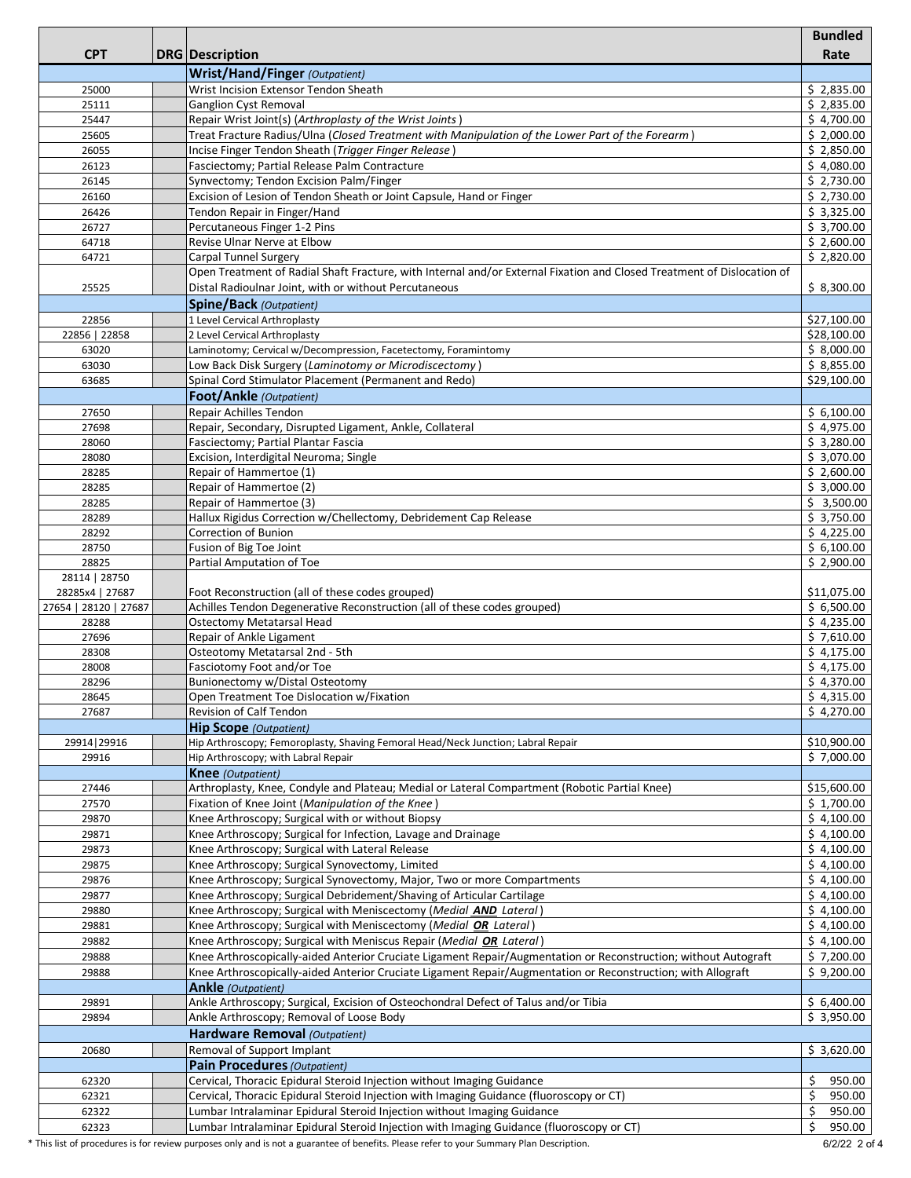|                       |                                                                                                                                         | <b>Bundled</b>           |
|-----------------------|-----------------------------------------------------------------------------------------------------------------------------------------|--------------------------|
| <b>CPT</b>            | <b>DRG</b> Description                                                                                                                  | Rate                     |
|                       | <b>Wrist/Hand/Finger</b> (Outpatient)                                                                                                   |                          |
| 25000                 | Wrist Incision Extensor Tendon Sheath                                                                                                   | \$2,835.00               |
| 25111                 | <b>Ganglion Cyst Removal</b>                                                                                                            | \$2,835.00               |
| 25447                 | Repair Wrist Joint(s) (Arthroplasty of the Wrist Joints)                                                                                | \$4,700.00               |
| 25605                 | Treat Fracture Radius/Ulna (Closed Treatment with Manipulation of the Lower Part of the Forearm)                                        | \$2,000.00               |
| 26055                 | Incise Finger Tendon Sheath (Trigger Finger Release)                                                                                    | \$2,850.00               |
| 26123                 | Fasciectomy; Partial Release Palm Contracture                                                                                           | \$4,080.00               |
| 26145                 | Synvectomy; Tendon Excision Palm/Finger                                                                                                 | \$2,730.00               |
| 26160<br>26426        | Excision of Lesion of Tendon Sheath or Joint Capsule, Hand or Finger<br>Tendon Repair in Finger/Hand                                    | \$2,730.00<br>\$3,325.00 |
| 26727                 | Percutaneous Finger 1-2 Pins                                                                                                            | \$3,700.00               |
| 64718                 | Revise Ulnar Nerve at Elbow                                                                                                             | \$2,600.00               |
| 64721                 | <b>Carpal Tunnel Surgery</b>                                                                                                            | \$2,820.00               |
|                       | Open Treatment of Radial Shaft Fracture, with Internal and/or External Fixation and Closed Treatment of Dislocation of                  |                          |
| 25525                 | Distal Radioulnar Joint, with or without Percutaneous                                                                                   | \$8,300.00               |
|                       | Spine/Back (Outpatient)                                                                                                                 |                          |
| 22856                 | 1 Level Cervical Arthroplasty                                                                                                           | \$27,100.00              |
| 22856   22858         | 2 Level Cervical Arthroplasty                                                                                                           | \$28,100.00              |
| 63020                 | Laminotomy; Cervical w/Decompression, Facetectomy, Foramintomy                                                                          | \$8,000.00               |
| 63030                 | Low Back Disk Surgery (Laminotomy or Microdiscectomy)                                                                                   | \$8,855.00               |
| 63685                 | Spinal Cord Stimulator Placement (Permanent and Redo)                                                                                   | \$29,100.00              |
|                       | <b>Foot/Ankle</b> (Outpatient)                                                                                                          |                          |
| 27650                 | Repair Achilles Tendon                                                                                                                  | \$6,100.00               |
| 27698                 | Repair, Secondary, Disrupted Ligament, Ankle, Collateral                                                                                | \$4,975.00               |
| 28060                 | Fasciectomy; Partial Plantar Fascia                                                                                                     | \$3,280.00               |
| 28080                 | Excision, Interdigital Neuroma; Single                                                                                                  | \$3,070.00               |
| 28285<br>28285        | Repair of Hammertoe (1)<br>Repair of Hammertoe (2)                                                                                      | \$2,600.00<br>\$3,000.00 |
| 28285                 | Repair of Hammertoe (3)                                                                                                                 | \$3,500.00               |
| 28289                 | Hallux Rigidus Correction w/Chellectomy, Debridement Cap Release                                                                        | \$3,750.00               |
| 28292                 | Correction of Bunion                                                                                                                    | \$4,225.00               |
| 28750                 | Fusion of Big Toe Joint                                                                                                                 | \$6,100.00               |
| 28825                 | Partial Amputation of Toe                                                                                                               | \$2,900.00               |
| 28114   28750         |                                                                                                                                         |                          |
| 28285x4   27687       | Foot Reconstruction (all of these codes grouped)                                                                                        | \$11,075.00              |
| 27654   28120   27687 | Achilles Tendon Degenerative Reconstruction (all of these codes grouped)                                                                | \$6,500.00               |
| 28288                 | Ostectomy Metatarsal Head                                                                                                               | \$4,235.00               |
| 27696<br>28308        | Repair of Ankle Ligament                                                                                                                | \$7,610.00               |
| 28008                 | Osteotomy Metatarsal 2nd - 5th<br>Fasciotomy Foot and/or Toe                                                                            | \$4,175.00<br>\$4,175.00 |
| 28296                 | Bunionectomy w/Distal Osteotomy                                                                                                         | \$4,370.00               |
| 28645                 | Open Treatment Toe Dislocation w/Fixation                                                                                               | \$4,315.00               |
| 27687                 | Revision of Calf Tendon                                                                                                                 | \$4,270.00               |
|                       | <b>Hip Scope</b> (Outpatient)                                                                                                           |                          |
| 29914   29916         | Hip Arthroscopy; Femoroplasty, Shaving Femoral Head/Neck Junction; Labral Repair                                                        | \$10,900.00              |
| 29916                 | Hip Arthroscopy; with Labral Repair                                                                                                     | \$7.000.00               |
|                       | <b>Knee</b> (Outpatient)                                                                                                                |                          |
| 27446                 | Arthroplasty, Knee, Condyle and Plateau; Medial or Lateral Compartment (Robotic Partial Knee)                                           | \$15,600.00              |
| 27570                 | Fixation of Knee Joint (Manipulation of the Knee)                                                                                       | \$1,700.00               |
| 29870                 | Knee Arthroscopy; Surgical with or without Biopsy                                                                                       | \$4,100.00               |
| 29871                 | Knee Arthroscopy; Surgical for Infection, Lavage and Drainage                                                                           | \$4,100.00               |
| 29873                 | Knee Arthroscopy; Surgical with Lateral Release                                                                                         | \$4,100.00               |
| 29875                 | Knee Arthroscopy; Surgical Synovectomy, Limited                                                                                         | \$4,100.00               |
| 29876                 | Knee Arthroscopy; Surgical Synovectomy, Major, Two or more Compartments                                                                 | \$4,100.00               |
| 29877                 | Knee Arthroscopy; Surgical Debridement/Shaving of Articular Cartilage                                                                   | \$4,100.00               |
| 29880                 | Knee Arthroscopy; Surgical with Meniscectomy (Medial AND Lateral)                                                                       | \$4,100.00<br>\$4,100.00 |
| 29881<br>29882        | Knee Arthroscopy; Surgical with Meniscectomy (Medial OR Lateral)<br>Knee Arthroscopy; Surgical with Meniscus Repair (Medial OR Lateral) | \$4,100.00               |
| 29888                 | Knee Arthroscopically-aided Anterior Cruciate Ligament Repair/Augmentation or Reconstruction; without Autograft                         | \$7,200.00               |
| 29888                 | Knee Arthroscopically-aided Anterior Cruciate Ligament Repair/Augmentation or Reconstruction; with Allograft                            | \$9,200.00               |
|                       | <b>Ankle</b> (Outpatient)                                                                                                               |                          |
| 29891                 | Ankle Arthroscopy; Surgical, Excision of Osteochondral Defect of Talus and/or Tibia                                                     | \$6,400.00               |
| 29894                 | Ankle Arthroscopy; Removal of Loose Body                                                                                                | \$3,950.00               |
|                       | Hardware Removal (Outpatient)                                                                                                           |                          |
| 20680                 | Removal of Support Implant                                                                                                              | \$3,620.00               |
|                       | <b>Pain Procedures (Outpatient)</b>                                                                                                     |                          |
| 62320                 | Cervical, Thoracic Epidural Steroid Injection without Imaging Guidance                                                                  | 950.00<br>\$             |
| 62321                 | Cervical, Thoracic Epidural Steroid Injection with Imaging Guidance (fluoroscopy or CT)                                                 | Ś.<br>950.00             |
| 62322                 | Lumbar Intralaminar Epidural Steroid Injection without Imaging Guidance                                                                 | \$<br>950.00             |
| 62323                 | Lumbar Intralaminar Epidural Steroid Injection with Imaging Guidance (fluoroscopy or CT)                                                | Ś.<br>950.00             |

\* This list of procedures is for review purposes only and is not a guarantee of benefits. Please refer to your Summary Plan Description. 6/2/22 2 of 4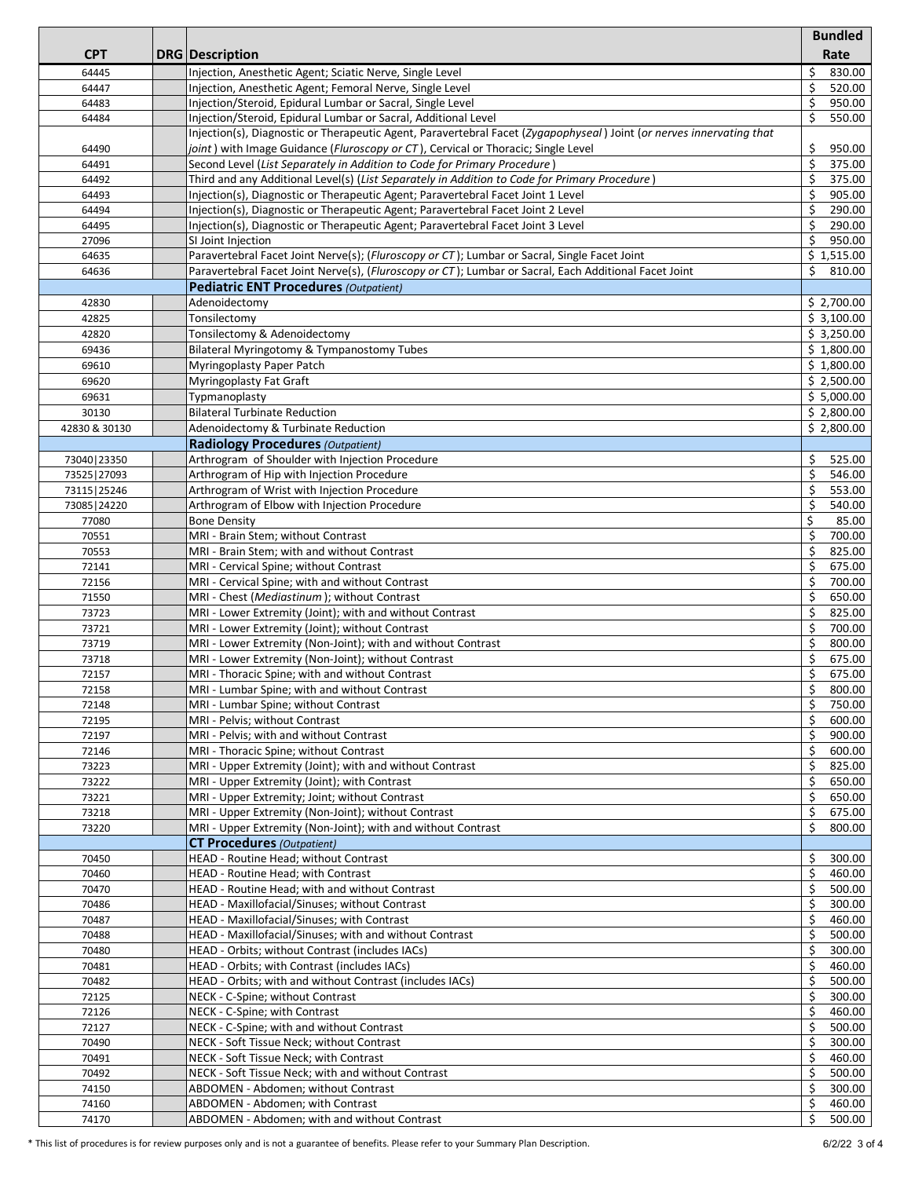|               |                                                                                                                      | <b>Bundled</b> |
|---------------|----------------------------------------------------------------------------------------------------------------------|----------------|
| <b>CPT</b>    | <b>DRG</b> Description                                                                                               | Rate           |
|               |                                                                                                                      |                |
| 64445         | Injection, Anesthetic Agent; Sciatic Nerve, Single Level                                                             | \$<br>830.00   |
| 64447         | Injection, Anesthetic Agent; Femoral Nerve, Single Level                                                             | \$<br>520.00   |
| 64483         | Injection/Steroid, Epidural Lumbar or Sacral, Single Level                                                           | \$<br>950.00   |
| 64484         | Injection/Steroid, Epidural Lumbar or Sacral, Additional Level                                                       | Ś<br>550.00    |
|               | Injection(s), Diagnostic or Therapeutic Agent, Paravertebral Facet (Zygapophyseal) Joint (or nerves innervating that |                |
| 64490         | joint) with Image Guidance (Fluroscopy or CT), Cervical or Thoracic; Single Level                                    | \$<br>950.00   |
| 64491         | Second Level (List Separately in Addition to Code for Primary Procedure)                                             | \$<br>375.00   |
| 64492         | Third and any Additional Level(s) (List Separately in Addition to Code for Primary Procedure)                        | \$<br>375.00   |
| 64493         | Injection(s), Diagnostic or Therapeutic Agent; Paravertebral Facet Joint 1 Level                                     | \$<br>905.00   |
|               |                                                                                                                      | 290.00         |
| 64494         | Injection(s), Diagnostic or Therapeutic Agent; Paravertebral Facet Joint 2 Level                                     | \$             |
| 64495         | Injection(s), Diagnostic or Therapeutic Agent; Paravertebral Facet Joint 3 Level                                     | \$<br>290.00   |
| 27096         | SI Joint Injection                                                                                                   | Ŝ.<br>950.00   |
| 64635         | Paravertebral Facet Joint Nerve(s); (Fluroscopy or CT); Lumbar or Sacral, Single Facet Joint                         | \$1,515.00     |
| 64636         | Paravertebral Facet Joint Nerve(s), (Fluroscopy or CT); Lumbar or Sacral, Each Additional Facet Joint                | Ŝ.<br>810.00   |
|               | <b>Pediatric ENT Procedures (Outpatient)</b>                                                                         |                |
| 42830         | Adenoidectomy                                                                                                        | \$2,700.00     |
| 42825         | Tonsilectomy                                                                                                         | \$3,100.00     |
| 42820         | Tonsilectomy & Adenoidectomy                                                                                         | \$3,250.00     |
|               |                                                                                                                      |                |
| 69436         | Bilateral Myringotomy & Tympanostomy Tubes                                                                           | \$1,800.00     |
| 69610         | Myringoplasty Paper Patch                                                                                            | \$1,800.00     |
| 69620         | <b>Myringoplasty Fat Graft</b>                                                                                       | \$2,500.00     |
| 69631         | Typmanoplasty                                                                                                        | \$5,000.00     |
| 30130         | <b>Bilateral Turbinate Reduction</b>                                                                                 | \$2,800.00     |
| 42830 & 30130 | Adenoidectomy & Turbinate Reduction                                                                                  | \$2.800.00     |
|               | <b>Radiology Procedures (Outpatient)</b>                                                                             |                |
| 73040   23350 | Arthrogram of Shoulder with Injection Procedure                                                                      | 525.00<br>Ŝ.   |
|               | Arthrogram of Hip with Injection Procedure                                                                           | \$<br>546.00   |
| 73525   27093 |                                                                                                                      |                |
| 73115   25246 | Arthrogram of Wrist with Injection Procedure                                                                         | \$<br>553.00   |
| 73085   24220 | Arthrogram of Elbow with Injection Procedure                                                                         | \$<br>540.00   |
| 77080         | <b>Bone Density</b>                                                                                                  | \$<br>85.00    |
| 70551         | MRI - Brain Stem; without Contrast                                                                                   | \$<br>700.00   |
| 70553         | MRI - Brain Stem; with and without Contrast                                                                          | 825.00<br>\$   |
| 72141         | MRI - Cervical Spine; without Contrast                                                                               | \$<br>675.00   |
| 72156         | MRI - Cervical Spine; with and without Contrast                                                                      | \$<br>700.00   |
| 71550         | MRI - Chest (Mediastinum); without Contrast                                                                          | \$<br>650.00   |
| 73723         | MRI - Lower Extremity (Joint); with and without Contrast                                                             | \$<br>825.00   |
|               |                                                                                                                      |                |
| 73721         | MRI - Lower Extremity (Joint); without Contrast                                                                      | \$<br>700.00   |
| 73719         | MRI - Lower Extremity (Non-Joint); with and without Contrast                                                         | \$<br>800.00   |
| 73718         | MRI - Lower Extremity (Non-Joint); without Contrast                                                                  | \$<br>675.00   |
| 72157         | MRI - Thoracic Spine; with and without Contrast                                                                      | \$<br>675.00   |
| 72158         | MRI - Lumbar Spine; with and without Contrast                                                                        | \$<br>800.00   |
| 72148         | MRI - Lumbar Spine; without Contrast                                                                                 | 750.00<br>S    |
| 72195         | MRI - Pelvis; without Contrast                                                                                       | \$<br>600.00   |
| 72197         | MRI - Pelvis; with and without Contrast                                                                              | 900.00<br>\$.  |
| 72146         | MRI - Thoracic Spine; without Contrast                                                                               | \$<br>600.00   |
| 73223         | MRI - Upper Extremity (Joint); with and without Contrast                                                             | \$<br>825.00   |
|               |                                                                                                                      |                |
| 73222         | MRI - Upper Extremity (Joint); with Contrast                                                                         | \$<br>650.00   |
| 73221         | MRI - Upper Extremity; Joint; without Contrast                                                                       | \$<br>650.00   |
| 73218         | MRI - Upper Extremity (Non-Joint); without Contrast                                                                  | Ŝ.<br>675.00   |
| 73220         | MRI - Upper Extremity (Non-Joint); with and without Contrast                                                         | \$<br>800.00   |
|               | <b>CT Procedures</b> (Outpatient)                                                                                    |                |
| 70450         | HEAD - Routine Head; without Contrast                                                                                | \$<br>300.00   |
| 70460         | HEAD - Routine Head; with Contrast                                                                                   | \$<br>460.00   |
| 70470         | HEAD - Routine Head; with and without Contrast                                                                       | \$<br>500.00   |
| 70486         | HEAD - Maxillofacial/Sinuses; without Contrast                                                                       | \$<br>300.00   |
|               | HEAD - Maxillofacial/Sinuses; with Contrast                                                                          | \$<br>460.00   |
| 70487         |                                                                                                                      |                |
| 70488         | HEAD - Maxillofacial/Sinuses; with and without Contrast                                                              | \$<br>500.00   |
| 70480         | HEAD - Orbits; without Contrast (includes IACs)                                                                      | \$<br>300.00   |
| 70481         | HEAD - Orbits; with Contrast (includes IACs)                                                                         | \$<br>460.00   |
| 70482         | HEAD - Orbits; with and without Contrast (includes IACs)                                                             | \$<br>500.00   |
| 72125         | NECK - C-Spine; without Contrast                                                                                     | \$<br>300.00   |
| 72126         | NECK - C-Spine; with Contrast                                                                                        | \$<br>460.00   |
| 72127         | NECK - C-Spine; with and without Contrast                                                                            | \$<br>500.00   |
| 70490         | NECK - Soft Tissue Neck; without Contrast                                                                            | \$<br>300.00   |
|               | NECK - Soft Tissue Neck; with Contrast                                                                               | 460.00         |
| 70491         |                                                                                                                      | \$             |
| 70492         | NECK - Soft Tissue Neck; with and without Contrast                                                                   | \$<br>500.00   |
| 74150         | ABDOMEN - Abdomen; without Contrast                                                                                  | Ŝ.<br>300.00   |
| 74160         | ABDOMEN - Abdomen; with Contrast                                                                                     | 460.00<br>\$   |
| 74170         | ABDOMEN - Abdomen; with and without Contrast                                                                         | Ś.<br>500.00   |